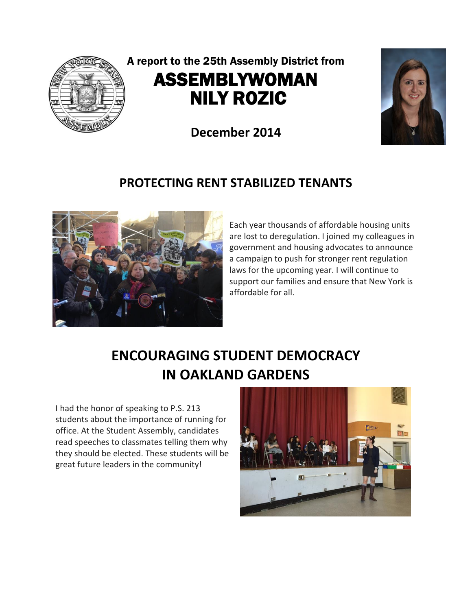

## A report to the 25th Assembly District from ASSEMBLYWOMAN NILY ROZIC

**December 2014**



#### **PROTECTING RENT STABILIZED TENANTS**



Each year thousands of affordable housing units are lost to deregulation. I joined my colleagues in government and housing advocates to announce a campaign to push for stronger rent regulation laws for the upcoming year. I will continue to support our families and ensure that New York is affordable for all.

# **ENCOURAGING STUDENT DEMOCRACY IN OAKLAND GARDENS**

I had the honor of speaking to P.S. 213 students about the importance of running for office. At the Student Assembly, candidates read speeches to classmates telling them why they should be elected. These students will be great future leaders in the community!